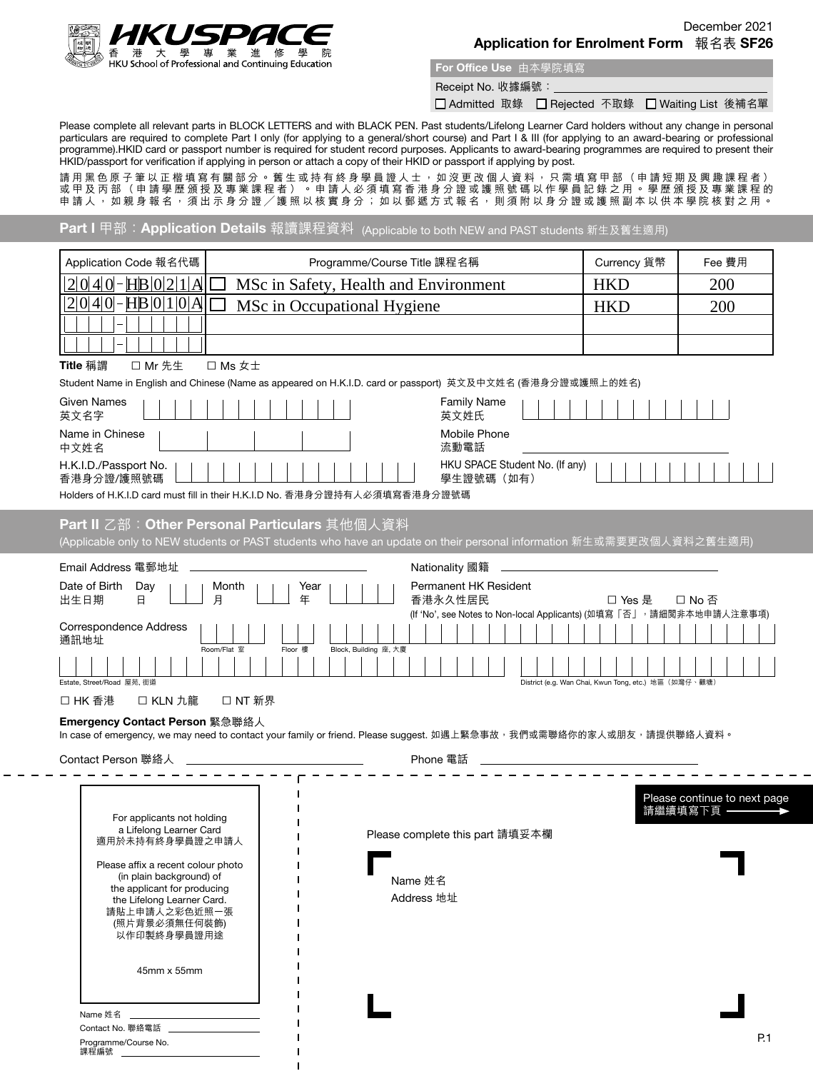

For Office Use 由本學院填寫

Receipt No. 收據編號:

□ Admitted 取錄 □ Rejected 不取錄 □ Waiting List 後補名單

Please complete all relevant parts in BLOCK LETTERS and with BLACK PEN. Past students/Lifelong Learner Card holders without any change in personal particulars are required to complete Part I only (for applying to a general/short course) and Part I & III (for applying to an award-bearing or professional programme).HKID card or passport number is required for student record purposes. Applicants to award-bearing programmes are required to present their HKID/passport for verification if applying in person or attach a copy of their HKID or passport if applying by post.

請用黑色原子筆以正楷填寫有關部分。舊生或持有終身學員證人士,如沒更改個人資料,只需填寫甲部(申請短期及興趣課程者) 或甲及丙部(申請學歷頒授及專業課程者)。申請人必須填寫香港身分證或護照號碼以作學員記錄之用。學歷頒授及專業課程的 申請人,如親身報名,須出示身分證,獲照以核實身分;如以郵遞方式報名,則須附以身分證或護照副本以供本學院核對之用。

Part I 甲部:Application Details 報讀課程資料 (Applicable to both NEW and PAST students 新生及舊生適用)

| Application Code 報名代碼                                          | Programme/Course Title 課程名稱                                                                                                                                           |                                 | Currency 貨幣                                                         | Fee 費用                                                |                                           |
|----------------------------------------------------------------|-----------------------------------------------------------------------------------------------------------------------------------------------------------------------|---------------------------------|---------------------------------------------------------------------|-------------------------------------------------------|-------------------------------------------|
| $\text{HB}$   0   2   1  <br> 0 4 0 <br>A                      | MSc in Safety, Health and Environment                                                                                                                                 |                                 | <b>HKD</b>                                                          | 200                                                   |                                           |
| $ 2 0 4 0 $ -HB $ 0 1 0 A$                                     | MSc in Occupational Hygiene                                                                                                                                           |                                 | <b>HKD</b>                                                          | 200                                                   |                                           |
|                                                                |                                                                                                                                                                       |                                 |                                                                     |                                                       |                                           |
|                                                                |                                                                                                                                                                       |                                 |                                                                     |                                                       |                                           |
| Title 稱謂<br>□ Mr 先生                                            | $\Box$ Ms $\pm\pm$                                                                                                                                                    |                                 |                                                                     |                                                       |                                           |
|                                                                | Student Name in English and Chinese (Name as appeared on H.K.I.D. card or passport) 英文及中文姓名 (香港身分證或護照上的姓名)                                                            |                                 |                                                                     |                                                       |                                           |
| Given Names<br>英文名字                                            |                                                                                                                                                                       | 英文姓氏                            | <b>Family Name</b>                                                  |                                                       |                                           |
| Name in Chinese<br>中文姓名                                        |                                                                                                                                                                       | 流動電話                            | Mobile Phone                                                        |                                                       |                                           |
| H.K.I.D./Passport No.<br>香港身分證/護照號碼                            |                                                                                                                                                                       |                                 | HKU SPACE Student No. (If any)<br>學生證號碼(如有)                         |                                                       |                                           |
|                                                                | Holders of H.K.I.D card must fill in their H.K.I.D No. 香港身分證持有人必須填寫香港身分證號碼                                                                                            |                                 |                                                                     |                                                       |                                           |
|                                                                | Part II 乙部: Other Personal Particulars 其他個人資料<br>(Applicable only to NEW students or PAST students who have an update on their personal information 新生或需要更改個人資料之舊生適用) |                                 |                                                                     |                                                       |                                           |
|                                                                |                                                                                                                                                                       |                                 |                                                                     |                                                       |                                           |
| Email Address 電郵地址                                             |                                                                                                                                                                       | Nationality 國籍                  |                                                                     |                                                       |                                           |
| Date of Birth<br>Day<br>出生日期<br>日                              | Month<br>Year<br>年<br>月                                                                                                                                               | 香港永久性居民                         | Permanent HK Resident                                               | □ Yes 是                                               | □ No 否                                    |
|                                                                |                                                                                                                                                                       |                                 | (If 'No', see Notes to Non-local Applicants) (如填寫「否」,請細閲非本地申請人注意事項) |                                                       |                                           |
| <b>Correspondence Address</b><br>通訊地址                          |                                                                                                                                                                       |                                 |                                                                     |                                                       |                                           |
| Estate, Street/Road 屋苑, 街道                                     | Floor 樓<br>Room/Flat 室                                                                                                                                                | Block, Building 座, 大廈           |                                                                     | District (e.g. Wan Chai, Kwun Tong, etc.) 地區 (如灣仔、觀塘) |                                           |
| □ KLN 九龍<br>口 HK 香港                                            | □ NT 新界                                                                                                                                                               |                                 |                                                                     |                                                       |                                           |
| Emergency Contact Person 緊急聯絡人                                 |                                                                                                                                                                       |                                 |                                                                     |                                                       |                                           |
|                                                                | In case of emergency, we may need to contact your family or friend. Please suggest. 如遇上緊急事故,我們或需聯絡你的家人或朋友,請提供聯絡人資料。                                                   |                                 |                                                                     |                                                       |                                           |
| Contact Person 聯絡人                                             |                                                                                                                                                                       | Phone 電話                        |                                                                     |                                                       |                                           |
|                                                                |                                                                                                                                                                       |                                 |                                                                     |                                                       |                                           |
| For applicants not holding                                     |                                                                                                                                                                       |                                 |                                                                     |                                                       | Please continue to next page<br>請繼續填寫下頁 - |
| a Lifelong Learner Card<br>適用於未持有終身學員證之申請人                     |                                                                                                                                                                       | Please complete this part 請填妥本欄 |                                                                     |                                                       |                                           |
| Please affix a recent colour photo<br>(in plain background) of |                                                                                                                                                                       | Name 姓名                         |                                                                     |                                                       |                                           |
| the applicant for producing<br>the Lifelong Learner Card.      |                                                                                                                                                                       | Address 地址                      |                                                                     |                                                       |                                           |
| 請貼上申請人之彩色近照一張                                                  |                                                                                                                                                                       |                                 |                                                                     |                                                       |                                           |
| (照片背景必須無任何裝飾)<br>以作印製終身學員證用途                                   |                                                                                                                                                                       |                                 |                                                                     |                                                       |                                           |
| 45mm x 55mm                                                    |                                                                                                                                                                       |                                 |                                                                     |                                                       |                                           |
|                                                                |                                                                                                                                                                       |                                 |                                                                     |                                                       |                                           |
| Name 姓名                                                        |                                                                                                                                                                       |                                 |                                                                     |                                                       |                                           |
| Contact No. 聯絡電話<br>Programme/Course No.                       |                                                                                                                                                                       |                                 |                                                                     |                                                       | P.1                                       |
| 課程編號                                                           |                                                                                                                                                                       |                                 |                                                                     |                                                       |                                           |

 $\mathbf{I}$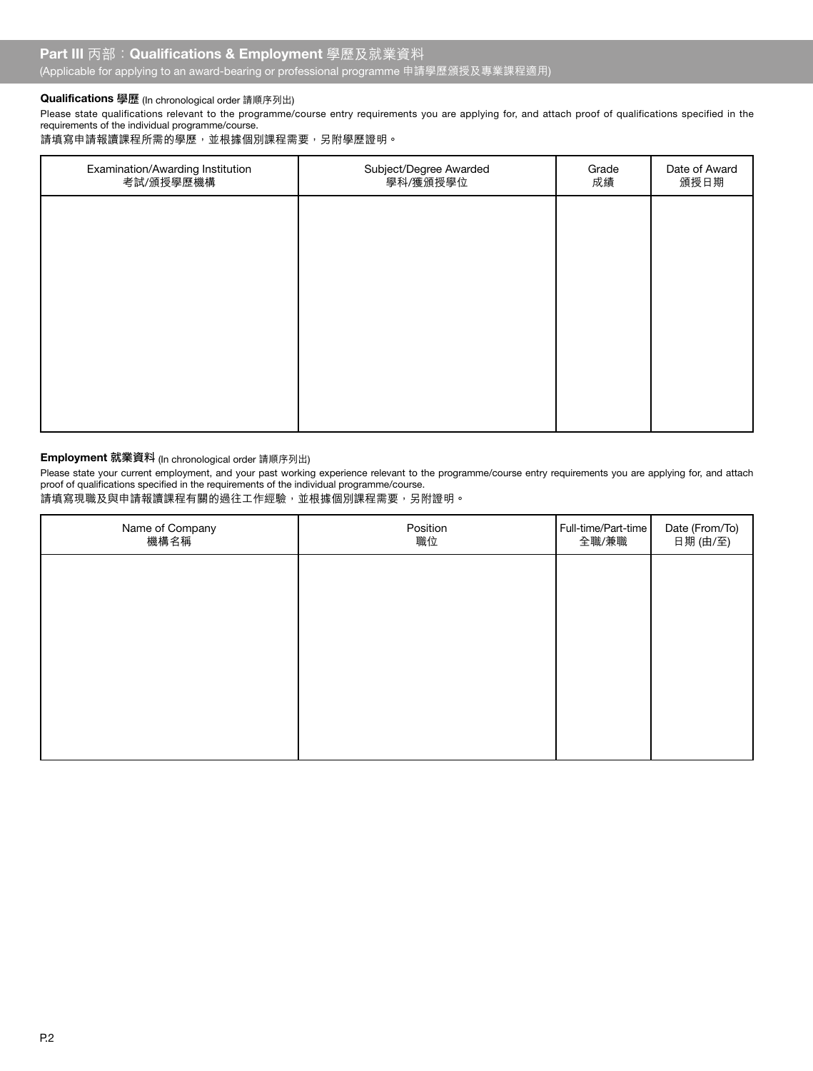# Qualifications 學歷 (In chronological order 請順序列出)

Please state qualifications relevant to the programme/course entry requirements you are applying for, and attach proof of qualifications specified in the requirements of the individual programme/course.

請填寫申請報讀課程所需的學歷,並根據個別課程需要,另附學歷證明。

| Examination/Awarding Institution<br>考試/頒授學歷機構 | Subject/Degree Awarded<br>學科/獲頒授學位 | Grade<br>成績 | Date of Award<br>頒授日期 |
|-----------------------------------------------|------------------------------------|-------------|-----------------------|
|                                               |                                    |             |                       |
|                                               |                                    |             |                       |
|                                               |                                    |             |                       |
|                                               |                                    |             |                       |
|                                               |                                    |             |                       |
|                                               |                                    |             |                       |

# Employment 就業資料 (In chronological order 請順序列出)

Please state your current employment, and your past working experience relevant to the programme/course entry requirements you are applying for, and attach proof of qualifications specified in the requirements of the individual programme/course.

請填寫現職及與申請報讀課程有關的過往工作經驗,並根據個別課程需要,另附證明。

| Name of Company<br>機構名稱 | Position<br>職位 | Full-time/Part-time<br>全職/兼職 | Date (From/To)<br>日期 (由/至) |
|-------------------------|----------------|------------------------------|----------------------------|
|                         |                |                              |                            |
|                         |                |                              |                            |
|                         |                |                              |                            |
|                         |                |                              |                            |
|                         |                |                              |                            |
|                         |                |                              |                            |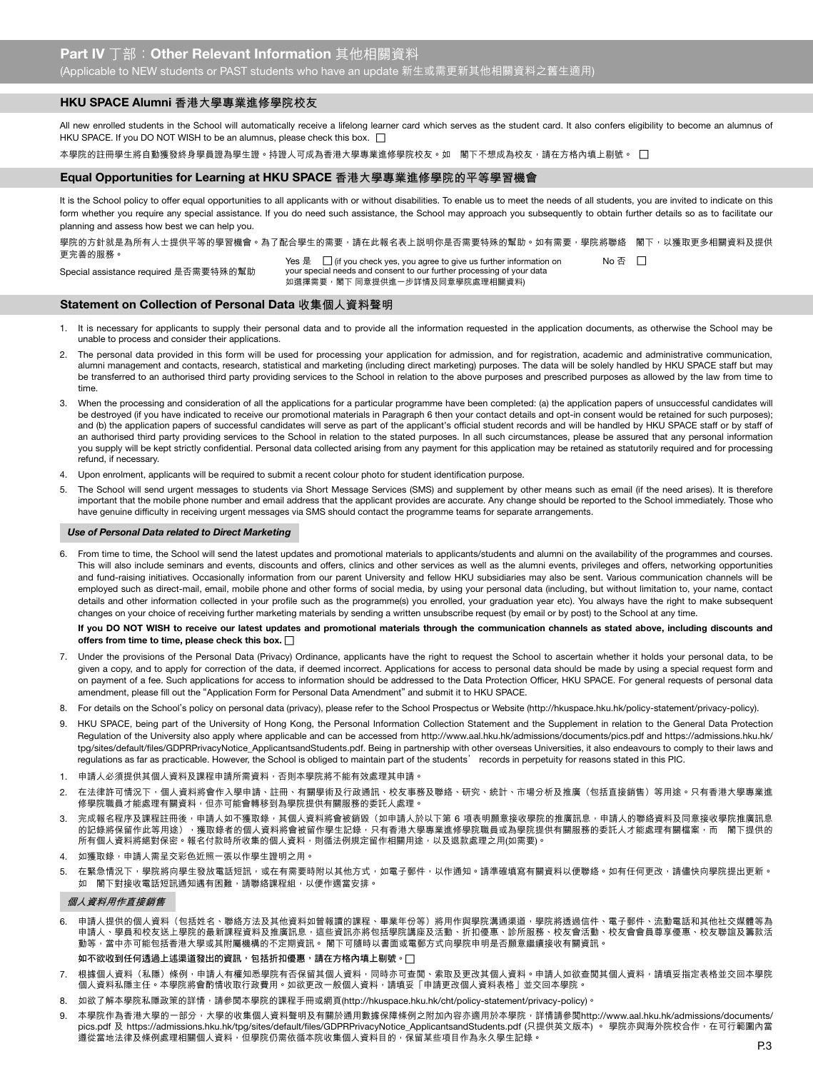## HKU SPACE Alumni **香港大學專業進修學院校友**

All new enrolled students in the School will automatically receive a lifelong learner card which serves as the student card. It also confers eligibility to become an alumnus of HKU SPACE. If you DO NOT WISH to be an alumnus, please check this box.  $\Box$ 

本學院的註冊學生將自動獲發終身學員證為學生證。持證人可成為香港大學專業進修學院校友。如 閣下不想成為校友,請在方格內填上剔號。 □

#### Equal Opportunities for Learning at HKU SPACE **香港大學專業進修學院的平等學習機會**

It is the School policy to offer equal opportunities to all applicants with or without disabilities. To enable us to meet the needs of all students, you are invited to indicate on this form whether you require any special assistance. If you do need such assistance, the School may approach you subsequently to obtain further details so as to facilitate our planning and assess how best we can help you.

學院的方針就是為所有人士提供平等的學習機會。為了配合學生的需要,請在此報名表上説明你是否需要特殊的幫助。如有需要,學院將聯絡 閣下,以獲取更多相關資料及提供 更完善的服務。

Special assistance required 是否需要特殊的幫助

Yes 是  $\Box$  (if you check yes, you agree to give us further information on  $\Box$  No 否  $\Box$ your special needs and consent to our further processing of your data ,<br>如選擇需要,閣下 同意提供進一步詳情及同意學院處理相關資料)

## Statement on Collection of Personal Data **收集個人資料聲明**

- 1. It is necessary for applicants to supply their personal data and to provide all the information requested in the application documents, as otherwise the School may be unable to process and consider their applications.
- 2. The personal data provided in this form will be used for processing your application for admission, and for registration, academic and administrative communication, alumni management and contacts, research, statistical and marketing (including direct marketing) purposes. The data will be solely handled by HKU SPACE staff but may be transferred to an authorised third party providing services to the School in relation to the above purposes and prescribed purposes as allowed by the law from time to time.
- 3. When the processing and consideration of all the applications for a particular programme have been completed: (a) the application papers of unsuccessful candidates will be destroyed (if you have indicated to receive our promotional materials in Paragraph 6 then your contact details and opt-in consent would be retained for such purposes); and (b) the application papers of successful candidates will serve as part of the applicant's official student records and will be handled by HKU SPACE staff or by staff of an authorised third party providing services to the School in relation to the stated purposes. In all such circumstances, please be assured that any personal information you supply will be kept strictly confidential. Personal data collected arising from any payment for this application may be retained as statutorily required and for processing refund, if necessary.
- 4. Upon enrolment, applicants will be required to submit a recent colour photo for student identification purpose.
- 5. The School will send urgent messages to students via Short Message Services (SMS) and supplement by other means such as email (if the need arises). It is therefore important that the mobile phone number and email address that the applicant provides are accurate. Any change should be reported to the School immediately. Those who have genuine difficulty in receiving urgent messages via SMS should contact the programme teams for separate arrangements.

#### *Use of Personal Data related to Direct Marketing*

6. From time to time, the School will send the latest updates and promotional materials to applicants/students and alumni on the availability of the programmes and courses. This will also include seminars and events, discounts and offers, clinics and other services as well as the alumni events, privileges and offers, networking opportunities and fund-raising initiatives. Occasionally information from our parent University and fellow HKU subsidiaries may also be sent. Various communication channels will be employed such as direct-mail, email, mobile phone and other forms of social media, by using your personal data (including, but without limitation to, your name, contact details and other information collected in your profile such as the programme(s) you enrolled, your graduation year etc). You always have the right to make subsequent changes on your choice of receiving further marketing materials by sending a written unsubscribe request (by email or by post) to the School at any time.

# If you DO NOT WISH to receive our latest updates and promotional materials through the communication channels as stated above, including discounts and offers from time to time, please check this box.  $\Box$

- 7. Under the provisions of the Personal Data (Privacy) Ordinance, applicants have the right to request the School to ascertain whether it holds your personal data, to be given a copy, and to apply for correction of the data, if deemed incorrect. Applications for access to personal data should be made by using a special request form and on payment of a fee. Such applications for access to information should be addressed to the Data Protection Officer, HKU SPACE. For general requests of personal data amendment, please fill out the "Application Form for Personal Data Amendment" and submit it to HKU SPACE.
- 8. For details on the School's policy on personal data (privacy), please refer to the School Prospectus or Website (http://hkuspace.hku.hk/policy-statement/privacy-policy).
- 9. HKU SPACE, being part of the University of Hong Kong, the Personal Information Collection Statement and the Supplement in relation to the General Data Protection Regulation of the University also apply where applicable and can be accessed from http://www.aal.hku.hk/admissions/documents/pics.pdf and https://admissions.hku.hk/ tpg/sites/default/files/GDPRPrivacyNotice\_ApplicantsandStudents.pdf. Being in partnership with other overseas Universities, it also endeavours to comply to their laws and regulations as far as practicable. However, the School is obliged to maintain part of the students' records in perpetuity for reasons stated in this PIC.
- 1. 申請人必須提供其個人資料及課程申請所需資料,否則本學院將不能有效處理其申請
- 2. 在法律許可情況下,個人資料將會作入學申請、註冊、有關學術及行政通訊、校友事務及聯絡、研究、統計、市場分析及推廣(包括直接銷售)等用途。只有香港大學專業進 修學院職員才能處理有關資料,但亦可能會轉移到為學院提供有關服務的委託人處理。
- 3. 完成報名程序及課程註冊後<sup>,</sup>申請人如不獲取錄,其個人資料將會被銷毀(如申請人於以下第 6 項表明願意接收學院的推廣訊息,申請人的聯絡資料及同意接收學院推廣訊息 的記錄將保留作此等用途),獲取錄者的個人資料將會被留作學生記錄,只有香港大學專業進修學院職員或為學院提供有關服務的委託人才能處理有關檔案,而 閣下提供的 所有個人資料將絕對保密。報名付款時所收集的個人資料,則循法例規定留作相關用途,以及退款處理之用(如需要)。
- 4. 如獲取錄,申請人需呈交彩色近照一張以作學生證明之用。
- 5. 在緊急情況下,學院將向學生發放電話短訊,或在有需要時附以其他方式,如電子郵件,以作通知。請準確填寫有關資料以便聯絡。如有任何更改,請儘快向學院提出更新。 **如 閣下對接收電話短訊通知遇有困難,請聯絡課程組,以便作適當安排。**

#### **個人資料用作直接銷售**

6. 申請人提供的個人資料(包括姓名、聯絡方法及其他資料如曾報讀的課程、畢業年份等)將用作與學院溝通渠道,學院將透過信件、電子郵件、流動電話和其他社交媒體等為 申請人、學員和校友送上學院的最新課程資料及推廣訊息,這些資訊亦將包括學院講座及活動、折扣優惠、診所服務、校友會活動、校友會會員尊享優惠、校友聯誼及籌款活 動等,當中亦可能包括香港大學或其附屬機構的不定期資訊。 閣下可隨時以書面或電郵方式向學院申明是否願意繼續接收有關資訊。

如不欲收到任何透過上述渠道發出的資訊,包括折扣優惠,請在方格內填上剔號。 $\Box$ 

- 7. 根據個人資料(私隱)條例,申請人有權知悉學院有否保留其個人資料,同時亦可查閱、索取及更改其個人資料。申請人如欲查閱其個人資料,請填妥指定表格並交回本學院 個人資料私隱主任。本學院將會酌情收取行政費用。如欲更改一般個人資料,請填妥「申請更改個人資料表格」並交回本學院。
- 8. 如欲了解本學院私隱政策的詳情,請參閱本學院的課程手冊或網頁(http://hkuspace.hku.hk/cht/policy-statement/privacy-policy)。
- 9. 本學院作為香港大學的一部分,大學的收集個人資料聲明及有關於通用數據保隨條例之附加內容亦適用於本學院,詳情請參閱http://www.aal.hku.hk/admissions/documents/ pics.pdf 及 https://admissions.hku.hk/tpg/sites/default/files/GDPRPrivacyNotice\_ApplicantsandStudents.pdf (只提供英文版本) 。 學院亦與海外院校合作,在可行範圍內當 遵從當地法律及條例處理相關個人資料,但學院仍需依循本院收集個人資料目的,保留某些項目作為永久學生記錄。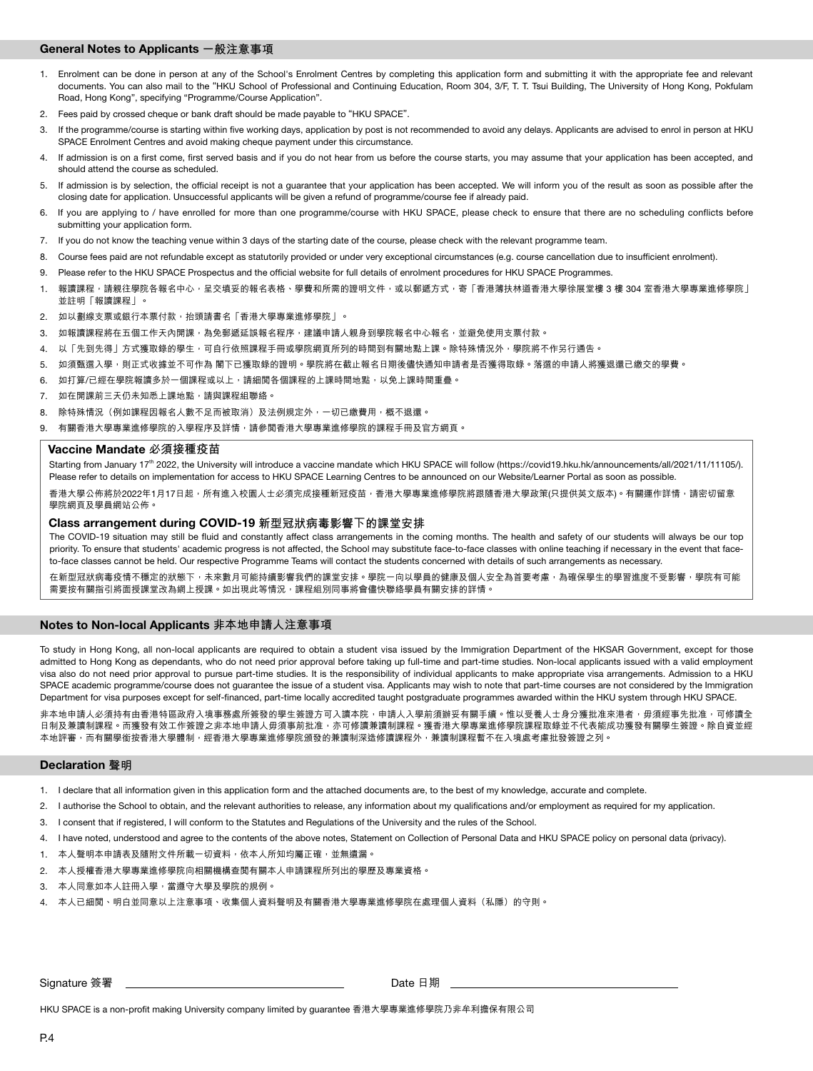# General Notes to Applicants **一般注意事項**

- 1. Enrolment can be done in person at any of the School's Enrolment Centres by completing this application form and submitting it with the appropriate fee and relevant documents. You can also mail to the "HKU School of Professional and Continuing Education, Room 304, 3/F, T. T. Tsui Building, The University of Hong Kong, Pokfulam Road, Hong Kong", specifying "Programme/Course Application".
- 2. Fees paid by crossed cheque or bank draft should be made payable to "HKU SPACE".
- 3. If the programme/course is starting within five working days, application by post is not recommended to avoid any delays. Applicants are advised to enrol in person at HKU SPACE Enrolment Centres and avoid making cheque payment under this circumstance.
- 4. If admission is on a first come, first served basis and if you do not hear from us before the course starts, you may assume that your application has been accepted, and should attend the course as scheduled.
- 5. If admission is by selection, the official receipt is not a guarantee that your application has been accepted. We will inform you of the result as soon as possible after the closing date for application. Unsuccessful applicants will be given a refund of programme/course fee if already paid.
- 6. If you are applying to / have enrolled for more than one programme/course with HKU SPACE, please check to ensure that there are no scheduling conflicts before submitting your application form.
- 7. If you do not know the teaching venue within 3 days of the starting date of the course, please check with the relevant programme team.
- 8. Course fees paid are not refundable except as statutorily provided or under very exceptional circumstances (e.g. course cancellation due to insufficient enrolment).
- 9. Please refer to the HKU SPACE Prospectus and the official website for full details of enrolment procedures for HKU SPACE Programmes.
- 1. 報讀課程,請親往學院各報名中心,呈交填妥的報名表格、學費和所需的證明文件,或以郵遞方式,寄「香港薄扶林道香港大學徐展堂樓 3 樓 304 室香港大學專業進修學院」 並註明「報讀課程」。
- 2. 如以劃線支票或銀行本票付款, 抬頭請書名「香港大學專業進修學院」。
- 3. 如報讀課程將在五個工作天內開課,為免郵遞延誤報名程序,建議申請人親身到學院報名中心報名,並避免使用支票付款。
- 4. 以「先到先得」方式獲取錄的學生,可自行依照課程手冊或學院網頁所列的時間到有關地點上課。除特殊情況外,學院將不作另行通告。
- 5. 如須甄選入學,則正式收據並不可作為 閣下已獲取錄的證明。學院將在截止報名日期後儘快通知申請者是否獲得取錄。落選的申請人將獲退還已繳交的學費。
- 6. 如打算/已經在學院報讀多於一個課程或以上,請細閱各個課程的上課時間地點,以免上課時間重疊。
- 7. 如在開課前三天仍未知悉上課地點,請與課程組聯絡。
- 8. 除特殊情況(例如課程因報名人數不足而被取消)及法例規定外,一切已繳費用,概不退還。
- 9. 有關香港大學專業進修學院的入學程序及詳情,請參閱香港大學專業進修學院的課程手冊及官方網頁。

#### Vaccine Mandate **必須接種疫苗**

Starting from January 17<sup>th</sup> 2022, the University will introduce a vaccine mandate which HKU SPACE will follow (https://covid19.hku.hk/announcements/all/2021/11/11105/). Please refer to details on implementation for access to HKU SPACE Learning Centres to be announced on our Website/Learner Portal as soon as possible. 香港大學公佈將於2022年1月17日起,所有進入校園人士必須完成接種新冠疫苗,香港大學專業進修學院將跟隨香港大學政策(只提供英文版本)。有關運作詳情,請密切留意 學院網頁及學員網站公佈。

#### Class arrangement during COVID-19 **新型冠狀病毒影響下的課堂安排**

The COVID-19 situation may still be fluid and constantly affect class arrangements in the coming months. The health and safety of our students will always be our top priority. To ensure that students' academic progress is not affected, the School may substitute face-to-face classes with online teaching if necessary in the event that faceto-face classes cannot be held. Our respective Programme Teams will contact the students concerned with details of such arrangements as necessary.

在新型冠狀病毒疫情不穩定的狀態下,未來數月可能持續影響我們的課堂安排。學院一向以學員的健康及個人安全為首要考慮,為確保學生的學習進度不受影響,學院有可能 需要按有關指引將面授課堂改為網上授課。如出現此等情況,課程組別同事將會儘快聯絡學員有關安排的詳情。

# Notes to Non-local Applicants **非本地申請人注意事項**

To study in Hong Kong, all non-local applicants are required to obtain a student visa issued by the Immigration Department of the HKSAR Government, except for those admitted to Hong Kong as dependants, who do not need prior approval before taking up full-time and part-time studies. Non-local applicants issued with a valid employment visa also do not need prior approval to pursue part-time studies. It is the responsibility of individual applicants to make appropriate visa arrangements. Admission to a HKU SPACE academic programme/course does not guarantee the issue of a student visa. Applicants may wish to note that part-time courses are not considered by the Immigration Department for visa purposes except for self-financed, part-time locally accredited taught postgraduate programmes awarded within the HKU system through HKU SPACE.

非本地申請人必須持有由香港特區政府入境事務處所簽發的學生簽證方可入讀本院,申請人入學前須辦妥有關手續。惟以受養人士身分獲批准來港者,毋須經事先批准,可修讀全 日制及兼讀制課程。而獲發有效工作簽證之非本地申請人毋須事前批准,亦可修讀兼讀制課程。獲香港大學專業進修學院課程取錄並不代表能成功獲發有關學生簽證。除自資並經 本地評審,而有關學銜按香港大學體制,經香港大學專業進修學院頒發的兼讀制深造修讀課程外,兼讀制課程暫不在入境處考慮批發簽證之列。

# **Declaration** 聲明

- 1. I declare that all information given in this application form and the attached documents are, to the best of my knowledge, accurate and complete.
- 2. I authorise the School to obtain, and the relevant authorities to release, any information about my qualifications and/or employment as required for my application.
- 3. I consent that if registered, I will conform to the Statutes and Regulations of the University and the rules of the School.
- 4. I have noted, understood and agree to the contents of the above notes, Statement on Collection of Personal Data and HKU SPACE policy on personal data (privacy).
- 1. 本人聲明本申請表及隨附文件所載一切資料,依本人所知均屬正確,並無遺漏。
- 2. 本人授權香港大學專業進修學院向相關機構查閱有關本人申請課程所列出的學歷及專業資格。
- 3. 本人同意如本人註冊入學,當遵守大學及學院的規例。
- 4. 本人已細閱、明白並同意以上注意事項、收集個人資料聲明及有關香港大學專業進修學院在處理個人資料(私隱)的守則。

Signature 簽署
<br>
Bate 日期

HKU SPACE is a non-profit making University company limited by guarantee 香港大學專業進修學院乃非牟利擔保有限公司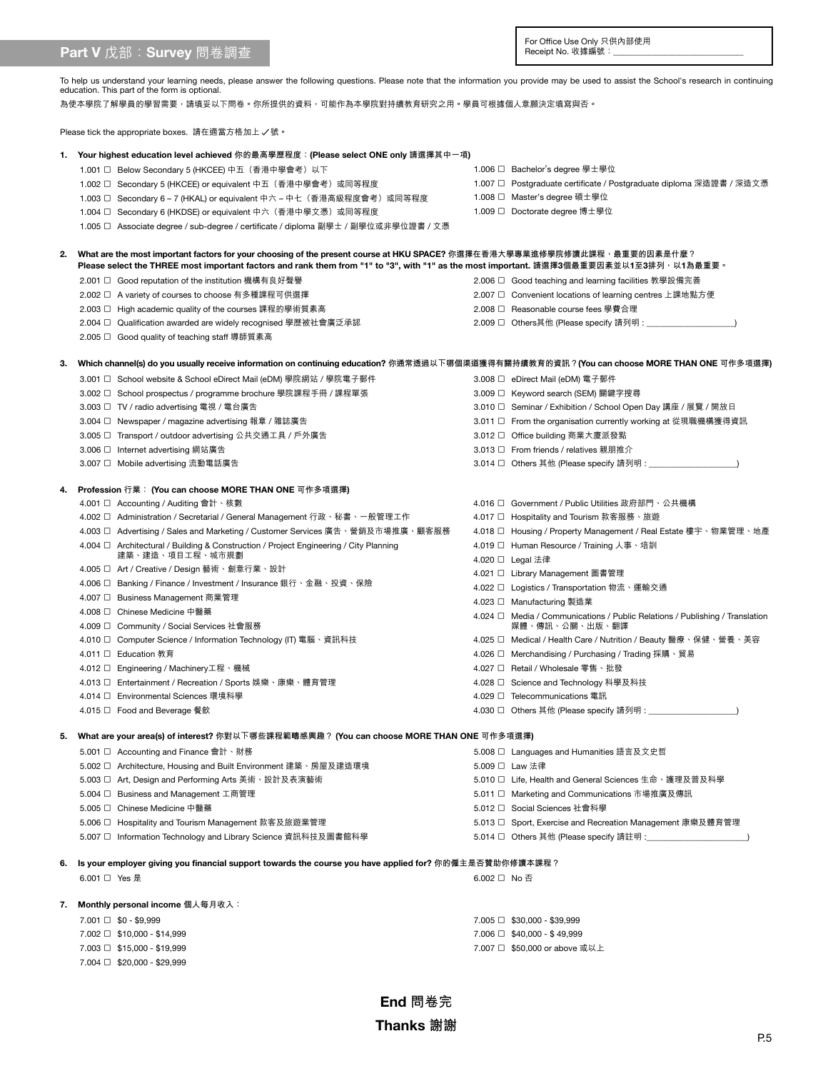# Part V 戊部: Survey 問卷調查

For Office Use Only 只供內部使用<br>Receipt No. 收據編號:\_\_\_\_\_\_\_\_\_\_\_\_\_\_\_\_\_\_\_\_\_\_\_\_\_\_\_\_\_\_\_\_\_\_

To help us understand your learning needs, please answer the following questions. Please note that the information you provide may be used to assist the School's research in continuing<br>education. This part of the form is o

為使本學院了解學員的學習需要,請填妥以下問卷。你所提供的資料,可能作為本學院對持續教育研究之用。學員可根據個人意願決定填寫與否。

Please tick the appropriate boxes. 請在適當方格加上 / 號。

|    | 1.  Your highest education level achieved 你的最高學歷程度︰(Please select ONE only 請選擇其中一項)                                                                                                                                                                                 |              |                                                                                   |
|----|---------------------------------------------------------------------------------------------------------------------------------------------------------------------------------------------------------------------------------------------------------------------|--------------|-----------------------------------------------------------------------------------|
|    | 1.001 □ Below Secondary 5 (HKCEE) 中五 (香港中學會考) 以下                                                                                                                                                                                                                    |              | 1.006 □ Bachelor's degree 學士學位                                                    |
|    | 1.002 □ Secondary 5 (HKCEE) or equivalent 中五 (香港中學會考) 或同等程度                                                                                                                                                                                                         |              | 1.007 □ Postgraduate certificate / Postgraduate diploma 深造證書 / 深造文憑               |
|    | 1.003 □   Secondary 6 – 7 (HKAL) or equivalent 中六 – 中七(香港高級程度會考)或同等程度                                                                                                                                                                                               |              | 1.008 □ Master's degree 碩士學位                                                      |
|    | 1.004 □ Secondary 6 (HKDSE) or equivalent 中六(香港中學文憑)或同等程度                                                                                                                                                                                                           |              | 1.009 □ Doctorate degree 博士學位                                                     |
|    | 1.005 □ Associate degree / sub-degree / certificate / diploma 副學士 / 副學位或非學位證書 / 文憑                                                                                                                                                                                  |              |                                                                                   |
| 2. | What are the most important factors for your choosing of the present course at HKU SPACE? 你選擇在香港大學專業進修學院修讀此課程,最重要的因素是什麼?<br>Please select the THREE most important factors and rank them from "1" to "3", with "1" as the most important. 請選擇3個最重要因素並以1至3排列,以1為最重要。 |              |                                                                                   |
|    | 2.001 □ Good reputation of the institution 機構有良好聲譽                                                                                                                                                                                                                  |              | 2.006 □ Good teaching and learning facilities 教學設備完善                              |
|    | 2.002 □ A variety of courses to choose 有多種課程可供選擇                                                                                                                                                                                                                    |              | 2.007 □ Convenient locations of learning centres 上課地點方便                           |
|    | 2.003 □ High academic quality of the courses 課程的學術質素高                                                                                                                                                                                                               |              | 2.008 □ Reasonable course fees 學費合理                                               |
|    | 2.004 □ Qualification awarded are widely recognised 學歷被社會廣泛承認                                                                                                                                                                                                       |              |                                                                                   |
|    | 2.005 □ Good quality of teaching staff 導師質素高                                                                                                                                                                                                                        |              |                                                                                   |
| З. | Which channel(s) do you usually receive information on continuing education? 你通常透過以下哪個渠道獲得有關持續教育的資訊?(You can choose MORE THAN ONE 可作多項選擇)                                                                                                                           |              |                                                                                   |
|    | 3.001 □ School website & School eDirect Mail (eDM) 學院網站 / 學院電子郵件                                                                                                                                                                                                    |              | 3.008 □ eDirect Mail (eDM) 電子郵件                                                   |
|    | 3.002 □ School prospectus / programme brochure 學院課程手冊 / 課程單張                                                                                                                                                                                                        |              | 3.009 □ Keyword search (SEM) 關鍵字搜尋                                                |
|    | 3.003 □ TV / radio advertising 電視 / 電台廣告                                                                                                                                                                                                                            |              | 3.010 □ Seminar / Exhibition / School Open Day 講座 / 展覽 / 開放日                      |
|    | 3.004 □ Newspaper / magazine advertising 報章 / 雜誌廣告                                                                                                                                                                                                                  |              | 3.011 □ From the organisation currently working at 從現職機構獲得資訊                      |
|    | 3.005 □ Transport / outdoor advertising 公共交通工具 / 戶外廣告                                                                                                                                                                                                               |              | 3.012 □ Office building 商業大廈派發點                                                   |
|    | 3.006 □ Internet advertising 網站廣告                                                                                                                                                                                                                                   |              | 3.013 □ From friends / relatives 親朋推介                                             |
|    | 3.007 □ Mobile advertising 流動電話廣告                                                                                                                                                                                                                                   |              |                                                                                   |
|    |                                                                                                                                                                                                                                                                     |              |                                                                                   |
| 4. | Profession 行業: (You can choose MORE THAN ONE 可作多項選擇)                                                                                                                                                                                                                |              |                                                                                   |
|    | 4.001 □ Accounting / Auditing 會計、核數                                                                                                                                                                                                                                 |              | 4.016 □ Government / Public Utilities 政府部門、公共機構                                   |
|    | 4.002 □   Administration / Secretarial / General Management 行政丶秘書丶一般管理工作                                                                                                                                                                                            |              | 4.017 □ Hospitality and Tourism 款客服務、旅遊                                           |
|    | 4.003 □   Advertising / Sales and Marketing / Customer Services 廣告 〝 營銷及市場推廣 〝 顧客服務                                                                                                                                                                                 |              | 4.018 □ Housing / Property Management / Real Estate 樓宇、物業管理、地產                    |
|    | 4.004 <sup><math>\Box</math></sup> Architectural / Building & Construction / Project Engineering / City Planning                                                                                                                                                    |              | 4.019 □ Human Resource / Training 人事、培訓                                           |
|    | 建築、建造、項目工程、城市規劃                                                                                                                                                                                                                                                     |              | 4.020 □ Legal 法律                                                                  |
|    | 4.005 □ Art / Creative / Design 藝術、創意行業、設計                                                                                                                                                                                                                          |              | 4.021 □ Library Management 圖書管理                                                   |
|    | 4.006 □ Banking / Finance / Investment / Insurance 銀行丶金融丶投資丶保險                                                                                                                                                                                                      |              | 4.022 □ Logistics / Transportation 物流、運輸交通                                        |
|    | 4.007 □ Business Management 商業管理                                                                                                                                                                                                                                    |              | 4.023 □ Manufacturing 製造業                                                         |
|    | 4.008 □ Chinese Medicine 中醫藥                                                                                                                                                                                                                                        |              | 4.024 $\Box$ Media / Communications / Public Relations / Publishing / Translation |
|    | 4.009 □ Community / Social Services 社會服務                                                                                                                                                                                                                            |              | 媒體、傳訊、公關、出版、翻譯                                                                    |
|    | 4.010 □ Computer Science / Information Technology (IT) 電腦、資訊科技                                                                                                                                                                                                      |              | 4.025 □ Medical / Health Care / Nutrition / Beauty 醫療、保健、營養、美容                    |
|    | 4.011 □ Education 教育                                                                                                                                                                                                                                                |              | 4.026 □ Merchandising / Purchasing / Trading 採購、貿易                                |
|    | 4.012 □ Engineering / Machinery工程、機械                                                                                                                                                                                                                                |              | 4.027 □ Retail / Wholesale 零售、批發                                                  |
|    | 4.013 □ Entertainment / Recreation / Sports 娛樂、康樂、體育管理                                                                                                                                                                                                              |              | 4.028 □ Science and Technology 科學及科技                                              |
|    | 4.014 □ Environmental Sciences 環境科學                                                                                                                                                                                                                                 |              | 4.029 □ Telecommunications 電訊                                                     |
|    | 4.015 □ Food and Beverage 餐飲                                                                                                                                                                                                                                        |              | 4.030 □ Others 其他 (Please specify 請列明 : ___________________                       |
| 5. | What are your area(s) of interest? 你對以下哪些課程範疇感興趣? (You can choose MORE THAN ONE 可作多項選擇)                                                                                                                                                                             |              |                                                                                   |
|    | 5.001 □ Accounting and Finance 會計、財務                                                                                                                                                                                                                                |              | 5.008 □ Languages and Humanities 語言及文史哲                                           |
|    | 5.002 □ Architecture, Housing and Built Environment 建築、房屋及建造環境                                                                                                                                                                                                      |              | 5.009 □ Law 法律                                                                    |
|    | 5.003 □ Art, Design and Performing Arts 美術、設計及表演藝術                                                                                                                                                                                                                  |              | 5.010 □ Life, Health and General Sciences 生命、護理及普及科學                              |
|    | 5.004 □ Business and Management 工商管理                                                                                                                                                                                                                                |              | 5.011 □ Marketing and Communications 市場推廣及傳訊                                      |
|    | 5.005 □ Chinese Medicine 中醫藥                                                                                                                                                                                                                                        |              | 5.012 □ Social Sciences 社會科學                                                      |
|    | 5.006 □ Hospitality and Tourism Management 款客及旅遊業管理                                                                                                                                                                                                                 |              | 5.013 □ Sport, Exercise and Recreation Management 康樂及體育管理                         |
|    | 5.007 □ Information Technology and Library Science 資訊科技及圖書館科學                                                                                                                                                                                                       |              | 5.014 □ Others 其他 (Please specify 請註明 :__                                         |
| 6. | Is your employer giving you financial support towards the course you have applied for? 你的僱主是否贊助你修讀本課程?                                                                                                                                                              |              |                                                                                   |
|    | 6.001 □ Yes 是                                                                                                                                                                                                                                                       | 6.002 □ No 否 |                                                                                   |
|    |                                                                                                                                                                                                                                                                     |              |                                                                                   |
| 7. | Monthly personal income 個人每月收入:                                                                                                                                                                                                                                     |              |                                                                                   |
|    | $7.001 \square$ \$0 - \$9,999                                                                                                                                                                                                                                       |              | $7.005 \Box$ \$30,000 - \$39,999                                                  |
|    | $7.002 \square$ \$10,000 - \$14,999                                                                                                                                                                                                                                 |              | $7.006 \Box$ \$40,000 - \$49,999                                                  |
|    | $7.003 \square$ \$15,000 - \$19,999                                                                                                                                                                                                                                 |              | 7.007 □ \$50,000 or above 或以上                                                     |

7.004 □ \$20,000 - \$29,999